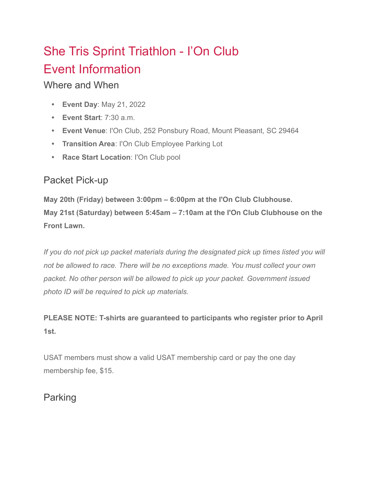# She Tris Sprint Triathlon - I'On Club Event Information

### Where and When

- **Event Day**: May 21, 2022
- Event Start: 7:30 a.m.
- **Event Venue**: I'On Club, 252 Ponsbury Road, Mount Pleasant, SC 29464
- **Transition Area**: I'On Club Employee Parking Lot
- **Race Start Location**: I'On Club pool

# Packet Pick-up

**May 20th (Friday) between 3:00pm – 6:00pm at the I'On Club Clubhouse. May 21st (Saturday) between 5:45am – 7:10am at the I'On Club Clubhouse on the Front Lawn.**

*If you do not pick up packet materials during the designated pick up times listed you will not be allowed to race. There will be no exceptions made. You must collect your own packet. No other person will be allowed to pick up your packet. Government issued photo ID will be required to pick up materials.*

# **PLEASE NOTE: T-shirts are guaranteed to participants who register prior to April 1st.**

USAT members must show a valid USAT membership card or pay the one day membership fee, \$15.

# Parking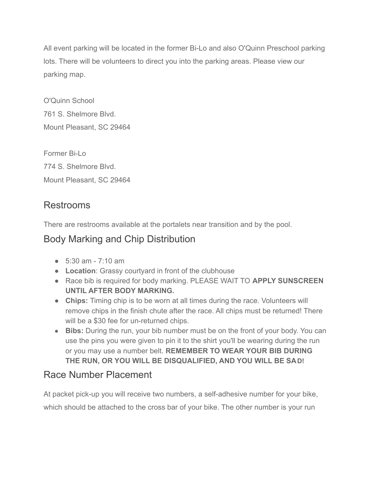All event parking will be located in the former Bi-Lo and also O'Quinn Preschool parking lots. There will be volunteers to direct you into the parking areas. Please view our parking map.

O'Quinn School 761 S. Shelmore Blvd. Mount Pleasant, SC 29464

Former Bi-Lo 774 S. Shelmore Blvd. Mount Pleasant, SC 29464

# Restrooms

There are restrooms available at the portalets near transition and by the pool.

# Body Marking and Chip Distribution

- 5:30 am 7:10 am
- **Location**: Grassy courtyard in front of the clubhouse
- Race bib is required for body marking. PLEASE WAIT TO **APPLY SUNSCREEN UNTIL AFTER BODY MARKING.**
- **Chips:** Timing chip is to be worn at all times during the race. Volunteers will remove chips in the finish chute after the race. All chips must be returned! There will be a \$30 fee for un-returned chips.
- **Bibs:** During the run, your bib number must be on the front of your body. You can use the pins you were given to pin it to the shirt you'll be wearing during the run or you may use a number belt. **REMEMBER TO WEAR YOUR BIB DURING THE RUN, OR YOU WILL BE DISQUALIFIED, AND YOU WILL BE SAD!**

# Race Number Placement

At packet pick-up you will receive two numbers, a self-adhesive number for your bike, which should be attached to the cross bar of your bike. The other number is your run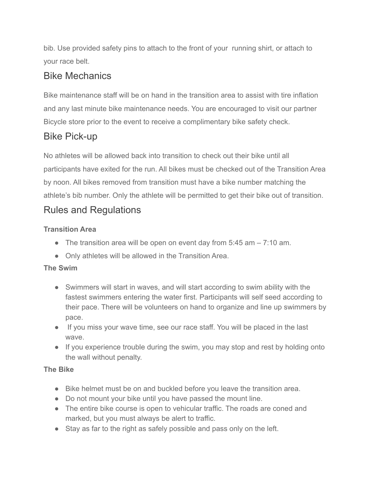bib. Use provided safety pins to attach to the front of your running shirt, or attach to your race belt.

### Bike Mechanics

Bike maintenance staff will be on hand in the transition area to assist with tire inflation and any last minute bike maintenance needs. You are encouraged to visit our partner Bicycle store prior to the event to receive a complimentary bike safety check.

# Bike Pick-up

No athletes will be allowed back into transition to check out their bike until all participants have exited for the run. All bikes must be checked out of the Transition Area by noon. All bikes removed from transition must have a bike number matching the athlete's bib number. Only the athlete will be permitted to get their bike out of transition.

# Rules and Regulations

#### **Transition Area**

- The transition area will be open on event day from  $5:45$  am  $-7:10$  am.
- Only athletes will be allowed in the Transition Area.

#### **The Swim**

- Swimmers will start in waves, and will start according to swim ability with the fastest swimmers entering the water first. Participants will self seed according to their pace. There will be volunteers on hand to organize and line up swimmers by pace.
- If you miss your wave time, see our race staff. You will be placed in the last wave.
- If you experience trouble during the swim, you may stop and rest by holding onto the wall without penalty.

#### **The Bike**

- Bike helmet must be on and buckled before you leave the transition area.
- Do not mount your bike until you have passed the mount line.
- The entire bike course is open to vehicular traffic. The roads are coned and marked, but you must always be alert to traffic.
- Stay as far to the right as safely possible and pass only on the left.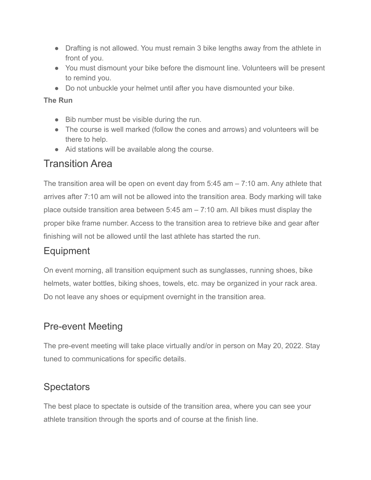- Drafting is not allowed. You must remain 3 bike lengths away from the athlete in front of you.
- You must dismount your bike before the dismount line. Volunteers will be present to remind you.
- Do not unbuckle your helmet until after you have dismounted your bike.

**The Run**

- Bib number must be visible during the run.
- The course is well marked (follow the cones and arrows) and volunteers will be there to help.
- Aid stations will be available along the course.

# Transition Area

The transition area will be open on event day from 5:45 am – 7:10 am. Any athlete that arrives after 7:10 am will not be allowed into the transition area. Body marking will take place outside transition area between 5:45 am – 7:10 am. All bikes must display the proper bike frame number. Access to the transition area to retrieve bike and gear after finishing will not be allowed until the last athlete has started the run.

# Equipment

On event morning, all transition equipment such as sunglasses, running shoes, bike helmets, water bottles, biking shoes, towels, etc. may be organized in your rack area. Do not leave any shoes or equipment overnight in the transition area.

# Pre-event Meeting

The pre-event meeting will take place virtually and/or in person on May 20, 2022. Stay tuned to communications for specific details.

# **Spectators**

The best place to spectate is outside of the transition area, where you can see your athlete transition through the sports and of course at the finish line.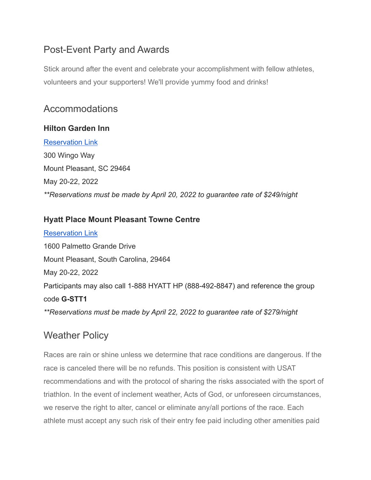# Post-Event Party and Awards

Stick around after the event and celebrate your accomplishment with fellow athletes, volunteers and your supporters! We'll provide yummy food and drinks!

# Accommodations

#### **Hilton Garden Inn**

[Reservation Link](http://www.my-event.hilton.com/chsplgi-ion-10882889-141a-49f7-a367-8831f0353fa9/) 300 Wingo Way Mount Pleasant, SC 29464 May 20-22, 2022 *\*\*Reservations must be made by April 20, 2022 to guarantee rate of \$249/night*

#### **Hyatt Place Mount Pleasant Towne Centre**

[Reservation Link](https://www.hyatt.com/shop/chszp?location=Hyatt%20Place%20Mount%20Pleasant%20Towne%20Centre&checkinDate=2022-05-20&checkoutDate=2022-05-22&rooms=1&adults=1&kids=0&corp_id=G-STT1) 1600 Palmetto Grande Drive Mount Pleasant, South Carolina, 29464 May 20-22, 2022 Participants may also call 1-888 HYATT HP (888-492-8847) and reference the group code **G-STT1** *\*\*Reservations must be made by April 22, 2022 to guarantee rate of \$279/night*

# Weather Policy

Races are rain or shine unless we determine that race conditions are dangerous. If the race is canceled there will be no refunds. This position is consistent with USAT recommendations and with the protocol of sharing the risks associated with the sport of triathlon. In the event of inclement weather, Acts of God, or unforeseen circumstances, we reserve the right to alter, cancel or eliminate any/all portions of the race. Each athlete must accept any such risk of their entry fee paid including other amenities paid